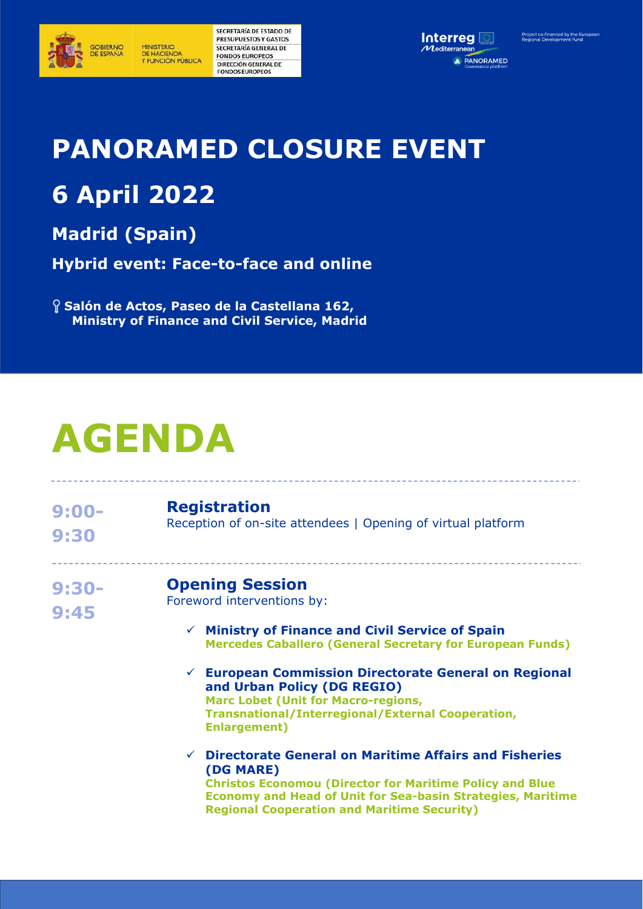

**MINISTERIO** DE HACIENDA<br>Y FUNCIÓN PÚBLICA SECRETARÍA DE ESTADO DE PRESUPUESTOS Y GASTOS SECRETARÍA GENERAL DE **FONDOS EUROPEOS** DIRECCIÓN GENERAL DE **FONDOS EUROPEOS** 



## **PANORAMED CLOSURE EVENT**

## **6 April 2022**

**Madrid (Spain)** 

**Hybrid event: Face-to-face and online** 

 **Salón de Actos, Paseo de la Castellana 162, Ministry of Finance and Civil Service, Madrid** 

# **AGENDA**

| $9:00 -$<br>9:30 | <b>Registration</b><br>Reception of on-site attendees   Opening of virtual platform                                                                                                                                                                                                                                                                                                                                         |
|------------------|-----------------------------------------------------------------------------------------------------------------------------------------------------------------------------------------------------------------------------------------------------------------------------------------------------------------------------------------------------------------------------------------------------------------------------|
| $9:30-$<br>9:45  | <b>Opening Session</b><br>Foreword interventions by:<br>$\checkmark$ Ministry of Finance and Civil Service of Spain<br><b>Mercedes Caballero (General Secretary for European Funds)</b><br>$\checkmark$ European Commission Directorate General on Regional<br>and Urban Policy (DG REGIO)<br><b>Marc Lobet (Unit for Macro-regions,</b><br><b>Transnational/Interregional/External Cooperation,</b><br><b>Enlargement)</b> |
|                  | <b>Directorate General on Maritime Affairs and Fisheries</b><br>$\checkmark$<br>(DG MARE)<br><b>Christos Economou (Director for Maritime Policy and Blue</b><br><b>Economy and Head of Unit for Sea-basin Strategies, Maritime</b><br><b>Regional Cooperation and Maritime Security)</b>                                                                                                                                    |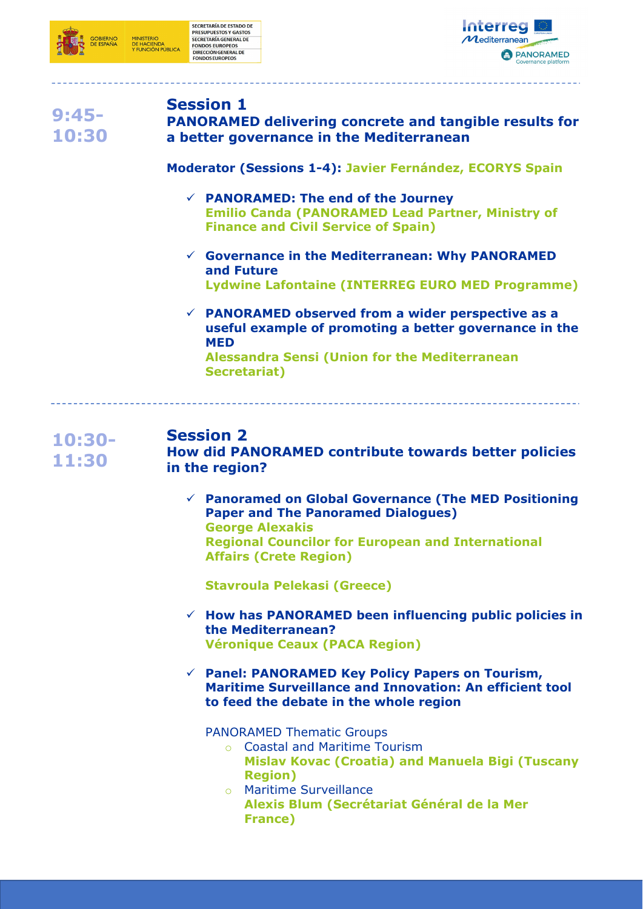



## **9:45- 10:30**

#### **Session 1**

**PANORAMED delivering concrete and tangible results for a better governance in the Mediterranean**

**Moderator (Sessions 1-4): Javier Fernández, ECORYS Spain** 

- **PANORAMED: The end of the Journey Emilio Canda (PANORAMED Lead Partner, Ministry of Finance and Civil Service of Spain)**
- **Governance in the Mediterranean: Why PANORAMED and Future Lydwine Lafontaine (INTERREG EURO MED Programme)**
- **PANORAMED observed from a wider perspective as a useful example of promoting a better governance in the MED**

**Alessandra Sensi (Union for the Mediterranean Secretariat)** 

#### **10:30- 11:30 Session 2 How did PANORAMED contribute towards better policies in the region?**

 **Panoramed on Global Governance (The MED Positioning Paper and The Panoramed Dialogues) George Alexakis Regional Councilor for European and International Affairs (Crete Region)** 

**Stavroula Pelekasi (Greece)** 

- **How has PANORAMED been influencing public policies in the Mediterranean? Véronique Ceaux (PACA Region)**
- **Panel: PANORAMED Key Policy Papers on Tourism, Maritime Surveillance and Innovation: An efficient tool to feed the debate in the whole region**

PANORAMED Thematic Groups

- o Coastal and Maritime Tourism **Mislav Kovac (Croatia) and Manuela Bigi (Tuscany Region)**
- o Maritime Surveillance **Alexis Blum (Secrétariat Général de la Mer France)**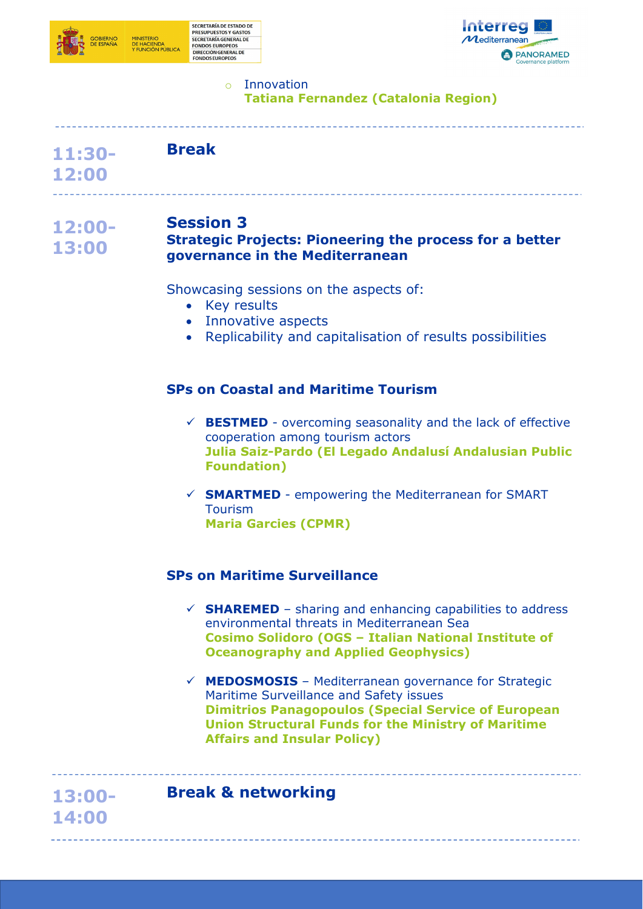



### o Innovation

**Tatiana Fernandez (Catalonia Region)** 

| 11:30- | <b>Break</b> |  |
|--------|--------------|--|
|--------|--------------|--|

**12:00** 

**13:00- 14:00** 

#### **12:00- Session 3**

#### **13:00 Strategic Projects: Pioneering the process for a better governance in the Mediterranean**

Showcasing sessions on the aspects of:

- Key results
- Innovative aspects
- Replicability and capitalisation of results possibilities

#### **SPs on Coastal and Maritime Tourism**

- $\checkmark$  **BESTMED** overcoming seasonality and the lack of effective cooperation among tourism actors **Julia Saiz-Pardo (El Legado Andalusí Andalusian Public Foundation)**
- **SMARTMED**  empowering the Mediterranean for SMART Tourism **Maria Garcies (CPMR)**

#### **SPs on Maritime Surveillance**

- $\checkmark$  **SHAREMED** sharing and enhancing capabilities to address environmental threats in Mediterranean Sea **Cosimo Solidoro (OGS – Italian National Institute of Oceanography and Applied Geophysics)**
- **MEDOSMOSIS**  Mediterranean governance for Strategic Maritime Surveillance and Safety issues **Dimitrios Panagopoulos (Special Service of European Union Structural Funds for the Ministry of Maritime Affairs and Insular Policy)**

### **Break & networking**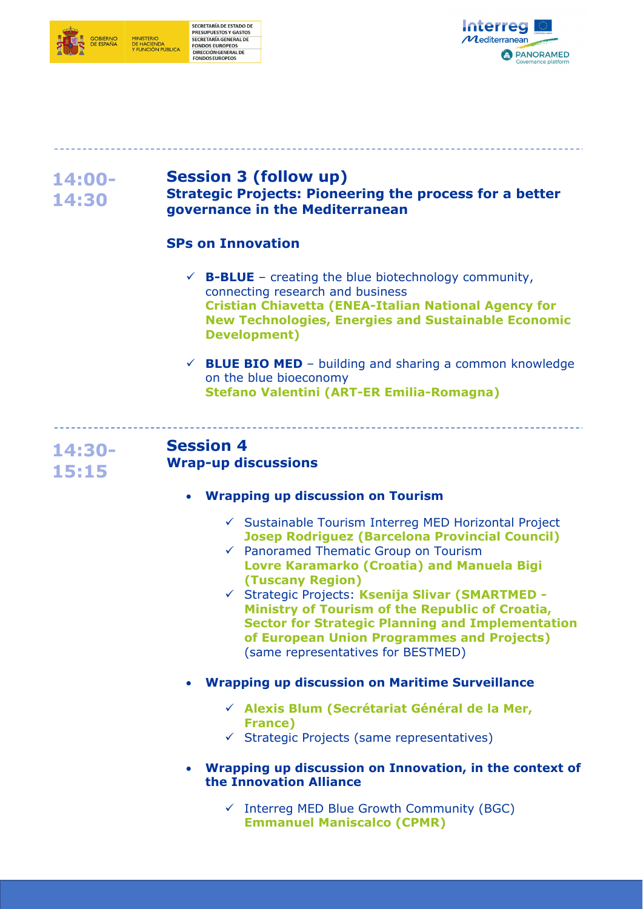



#### **14:00- 14:30 Session 3 (follow up) Strategic Projects: Pioneering the process for a better governance in the Mediterranean**

#### **SPs on Innovation**

- $\checkmark$  **B-BLUE** creating the blue biotechnology community, connecting research and business **Cristian Chiavetta (ENEA-Italian National Agency for New Technologies, Energies and Sustainable Economic Development)**
- $\checkmark$  **BLUE BIO MED** building and sharing a common knowledge on the blue bioeconomy **Stefano Valentini (ART-ER Emilia-Romagna)**

## **14:30- 15:15**

#### **Session 4 Wrap-up discussions**

#### **Wrapping up discussion on Tourism**

- $\checkmark$  Sustainable Tourism Interreg MED Horizontal Project **Josep Rodriguez (Barcelona Provincial Council)**
- $\checkmark$  Panoramed Thematic Group on Tourism **Lovre Karamarko (Croatia) and Manuela Bigi (Tuscany Region)**
- Strategic Projects: **Ksenija Slivar (SMARTMED - Ministry of Tourism of the Republic of Croatia, Sector for Strategic Planning and Implementation of European Union Programmes and Projects)**  (same representatives for BESTMED)
- **Wrapping up discussion on Maritime Surveillance** 
	- **Alexis Blum (Secrétariat Général de la Mer, France)**
	- $\checkmark$  Strategic Projects (same representatives)
- **Wrapping up discussion on Innovation, in the context of the Innovation Alliance** 
	- $\checkmark$  Interreg MED Blue Growth Community (BGC) **Emmanuel Maniscalco (CPMR)**